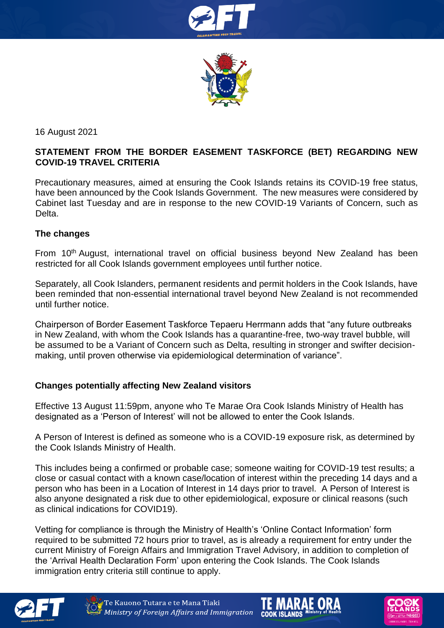



16 August 2021

# **STATEMENT FROM THE BORDER EASEMENT TASKFORCE (BET) REGARDING NEW COVID-19 TRAVEL CRITERIA**

Precautionary measures, aimed at ensuring the Cook Islands retains its COVID-19 free status, have been announced by the Cook Islands Government. The new measures were considered by Cabinet last Tuesday and are in response to the new COVID-19 Variants of Concern, such as Delta.

#### **The changes**

From 10<sup>th</sup> August, international travel on official business beyond New Zealand has been restricted for all Cook Islands government employees until further notice.

Separately, all Cook Islanders, permanent residents and permit holders in the Cook Islands, have been reminded that non-essential international travel beyond New Zealand is not recommended until further notice.

Chairperson of Border Easement Taskforce Tepaeru Herrmann adds that "any future outbreaks in New Zealand, with whom the Cook Islands has a quarantine-free, two-way travel bubble, will be assumed to be a Variant of Concern such as Delta, resulting in stronger and swifter decisionmaking, until proven otherwise via epidemiological determination of variance".

### **Changes potentially affecting New Zealand visitors**

Effective 13 August 11:59pm, anyone who Te Marae Ora Cook Islands Ministry of Health has designated as a 'Person of Interest' will not be allowed to enter the Cook Islands.

A Person of Interest is defined as someone who is a COVID-19 exposure risk, as determined by the Cook Islands Ministry of Health.

This includes being a confirmed or probable case; someone waiting for COVID-19 test results; a close or casual contact with a known case/location of interest within the preceding 14 days and a person who has been in a Location of Interest in 14 days prior to travel. A Person of Interest is also anyone designated a risk due to other epidemiological, exposure or clinical reasons (such as clinical indications for COVID19).

Vetting for compliance is through the Ministry of Health's 'Online Contact Information' form required to be submitted 72 hours prior to travel, as is already a requirement for entry under the current Ministry of Foreign Affairs and Immigration Travel Advisory, in addition to completion of the 'Arrival Health Declaration Form' upon entering the Cook Islands. The Cook Islands immigration entry criteria still continue to apply.